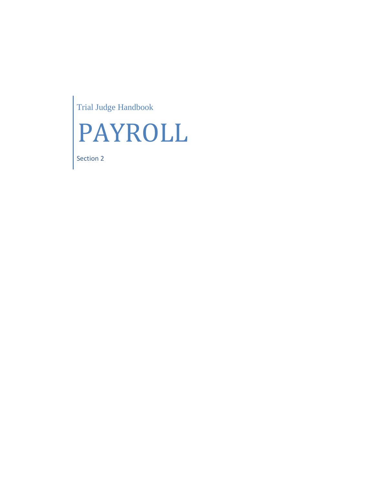Trial Judge Handbook



Section 2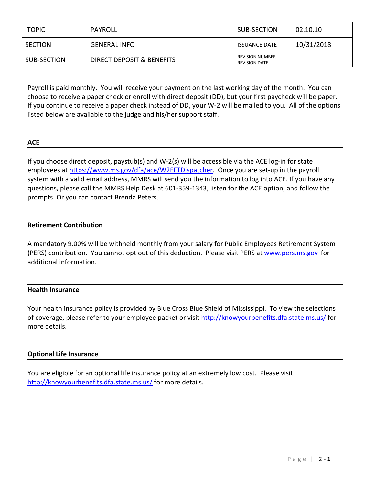| <b>TOPIC</b> | PAYROLL                   | SUB-SECTION                                    | 02.10.10   |
|--------------|---------------------------|------------------------------------------------|------------|
| SECTION      | <b>GENERAL INFO</b>       | <b>ISSUANCE DATE</b>                           | 10/31/2018 |
| SUB-SECTION  | DIRECT DEPOSIT & BENEFITS | <b>REVISION NUMBER</b><br><b>REVISION DATE</b> |            |

Payroll is paid monthly. You will receive your payment on the last working day of the month. You can choose to receive a paper check or enroll with direct deposit (DD), but your first paycheck will be paper. If you continue to receive a paper check instead of DD, your W-2 will be mailed to you. All of the options listed below are available to the judge and his/her support staff.

# **ACE**

If you choose direct deposit, paystub(s) and W-2(s) will be accessible via the ACE log-in for state employees at [https://www.ms.gov/dfa/ace/W2EFTDispatcher.](https://www.ms.gov/dfa/ace/W2EFTDispatcher) Once you are set-up in the payroll system with a valid email address, MMRS will send you the information to log into ACE. If you have any questions, please call the MMRS Help Desk at 601-359-1343, listen for the ACE option, and follow the prompts. Or you can contact Brenda Peters.

# **Retirement Contribution**

A mandatory 9.00% will be withheld monthly from your salary for Public Employees Retirement System (PERS) contribution. You cannot opt out of this deduction. Please visit PERS at [www.pers.ms.gov](http://www.pers.ms.gov/) for additional information.

# **Health Insurance**

Your health insurance policy is provided by Blue Cross Blue Shield of Mississippi. To view the selections of coverage, please refer to your employee packet or visit<http://knowyourbenefits.dfa.state.ms.us/> for more details.

# **Optional Life Insurance**

You are eligible for an optional life insurance policy at an extremely low cost. Please visit <http://knowyourbenefits.dfa.state.ms.us/> for more details.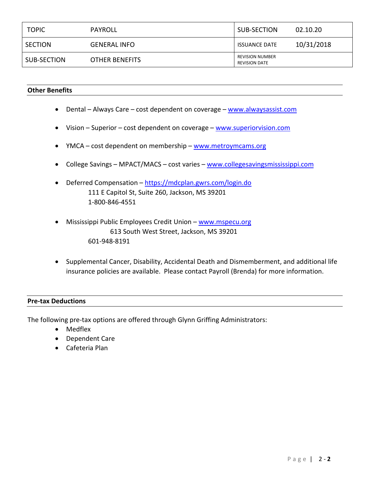| <b>TOPIC</b>   | PAYROLL             | SUB-SECTION                                    | 02.10.20   |
|----------------|---------------------|------------------------------------------------|------------|
| <b>SECTION</b> | <b>GENERAL INFO</b> | <b>ISSUANCE DATE</b>                           | 10/31/2018 |
| SUB-SECTION    | OTHER BENEFITS      | <b>REVISION NUMBER</b><br><b>REVISION DATE</b> |            |

## **Other Benefits**

- Dental Always Care cost dependent on coverage [www.alwaysassist.com](http://www.alwaysassist.com/)
- Vision Superior cost dependent on coverage [www.superiorvision.com](http://www.superiorvision.com/)
- YMCA cost dependent on membership www.metroymcams.org
- College Savings MPACT/MACS cost varies [www.collegesavingsmississippi.com](http://www.collegesavingsmississippi.com/)
- Deferred Compensation <https://mdcplan.gwrs.com/login.do> 111 E Capitol St, Suite 260, Jackson, MS 39201 1-800-846-4551
- Mississippi Public Employees Credit Union www.mspecu.org 613 South West Street, Jackson, MS 39201 601-948-8191
- Supplemental Cancer, Disability, Accidental Death and Dismemberment, and additional life insurance policies are available. Please contact Payroll (Brenda) for more information.

#### **Pre-tax Deductions**

The following pre-tax options are offered through Glynn Griffing Administrators:

- Medflex
- Dependent Care
- Cafeteria Plan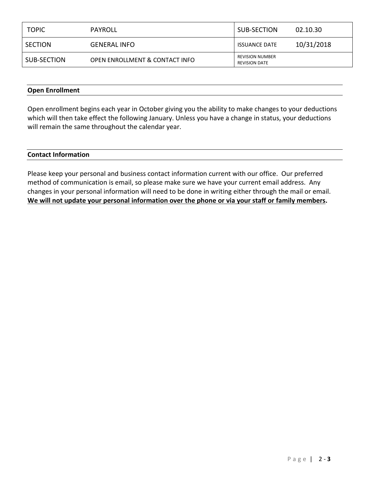| <b>TOPIC</b>   | PAYROLL                        | SUB-SECTION                                    | 02.10.30   |
|----------------|--------------------------------|------------------------------------------------|------------|
| <b>SECTION</b> | <b>GENERAL INFO</b>            | <b>ISSUANCE DATE</b>                           | 10/31/2018 |
| SUB-SECTION    | OPEN ENROLLMENT & CONTACT INFO | <b>REVISION NUMBER</b><br><b>REVISION DATE</b> |            |

## **Open Enrollment**

Open enrollment begins each year in October giving you the ability to make changes to your deductions which will then take effect the following January. Unless you have a change in status, your deductions will remain the same throughout the calendar year.

## **Contact Information**

Please keep your personal and business contact information current with our office. Our preferred method of communication is email, so please make sure we have your current email address. Any changes in your personal information will need to be done in writing either through the mail or email. **We will not update your personal information over the phone or via your staff or family members.**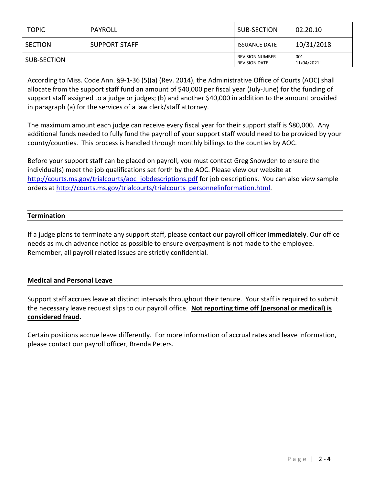| <b>TOPIC</b> | PAYROLL       | SUB-SECTION                                    | 02.20.10          |
|--------------|---------------|------------------------------------------------|-------------------|
| SECTION      | SUPPORT STAFF | <b>ISSUANCE DATE</b>                           | 10/31/2018        |
| SUB-SECTION  |               | <b>REVISION NUMBER</b><br><b>REVISION DATE</b> | 001<br>11/04/2021 |

According to Miss. Code Ann. §9-1-36 (5)(a) (Rev. 2014), the Administrative Office of Courts (AOC) shall allocate from the support staff fund an amount of \$40,000 per fiscal year (July-June) for the funding of support staff assigned to a judge or judges; (b) and another \$40,000 in addition to the amount provided in paragraph (a) for the services of a law clerk/staff attorney.

The maximum amount each judge can receive every fiscal year for their support staff is \$80,000. Any additional funds needed to fully fund the payroll of your support staff would need to be provided by your county/counties. This process is handled through monthly billings to the counties by AOC.

Before your support staff can be placed on payroll, you must contact Greg Snowden to ensure the individual(s) meet the job qualifications set forth by the AOC. Please view our website at [http://courts.ms.gov/trialcourts/aoc\\_jobdescriptions.pdf](http://courts.ms.gov/trialcourts/aoc_jobdescriptions.pdf) for job descriptions. You can also view sample orders at [http://courts.ms.gov/trialcourts/trialcourts\\_personnelinformation.html.](http://courts.ms.gov/trialcourts/trialcourts_personnelinformation.html)

# **Termination**

If a judge plans to terminate any support staff, please contact our payroll officer **immediately**. Our office needs as much advance notice as possible to ensure overpayment is not made to the employee. Remember, all payroll related issues are strictly confidential.

# **Medical and Personal Leave**

Support staff accrues leave at distinct intervals throughout their tenure. Your staff is required to submit the necessary leave request slips to our payroll office. **Not reporting time off (personal or medical) is considered fraud.**

Certain positions accrue leave differently. For more information of accrual rates and leave information, please contact our payroll officer, Brenda Peters.